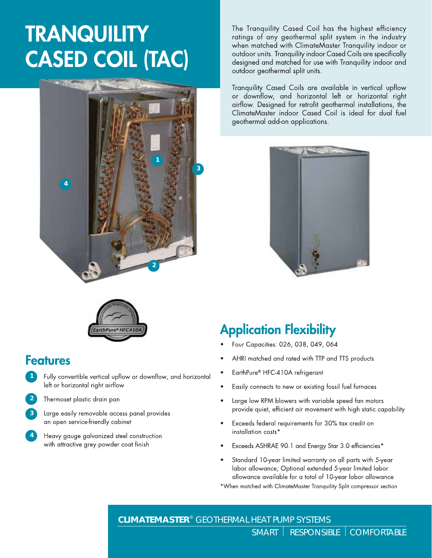# **TRANQUILITY CASED COIL (TAC)**



The Tranquility Cased Coil has the highest efficiency ratings of any geothermal split system in the industry when matched with ClimateMaster Tranquility indoor or outdoor units. Tranquility indoor Cased Coils are specifically designed and matched for use with Tranquility indoor and outdoor geothermal split units.

Tranquility Cased Coils are available in vertical upflow or downflow, and horizontal left or horizontal right airflow. Designed for retrofit geothermal installations, the ClimateMaster indoor Cased Coil is ideal for dual fuel geothermal add-on applications.





### **Features**

Fully convertible vertical upflow or downflow, and horizontal **1** left or horizontal right airflow



**4**

- **2** Thermoset plastic drain pan
- Large easily removable access panel provides **3** an open service-friendly cabinet
	- Heavy gauge galvanized steel construction with attractive grey powder coat finish

## **Application Flexibility**

- Four Capacities: 026, 038, 049, 064
- AHRI matched and rated with TTP and TTS products
- EarthPure® HFC-410A refrigerant
- Easily connects to new or existing fossil fuel furnaces
- Large low RPM blowers with variable speed fan motors provide quiet, efficient air movement with high static capability
- Exceeds federal requirements for 30% tax credit on installation costs\*
- Exceeds ASHRAE 90.1 and Energy Star 3.0 efficiencies\*
- Standard 10-year limited warranty on all parts with 5-year labor allowance; Optional extended 5-year limited labor allowance available for a total of 10-year labor allowance

\*When matched with ClimateMaster Tranquility Split compressor section

**CLIMATEMASTER**® GEOTHERMAL HEAT PUMP SYSTEMS